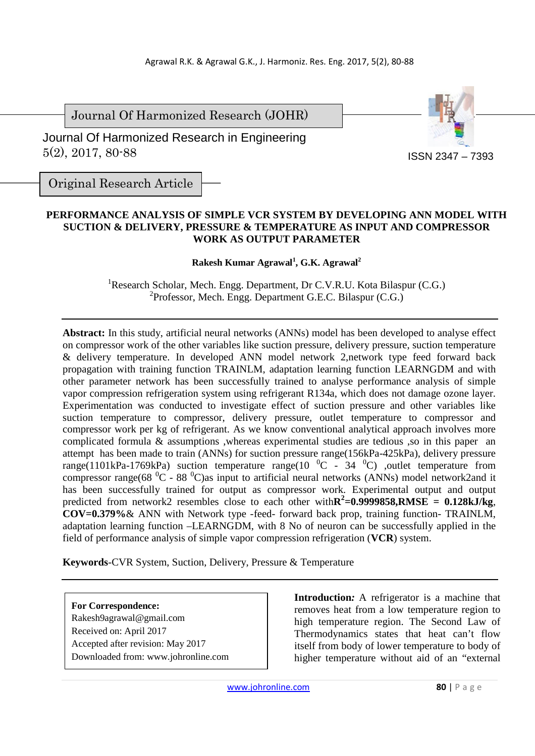Journal Of Harmonized Research (JOHR)

 Journal Of Harmonized Research in Engineering 5(2), 2017, 80-88



Original Research Article

## **PERFORMANCE ANALYSIS OF SIMPLE VCR SYSTEM BY DEVELOPING ANN MODEL WITH SUCTION & DELIVERY, PRESSURE & TEMPERATURE AS INPUT AND COMPRESSOR WORK AS OUTPUT PARAMETER**

# **Rakesh Kumar Agrawal<sup>1</sup> , G.K. Agrawal<sup>2</sup>**

<sup>1</sup>Research Scholar, Mech. Engg. Department, Dr C.V.R.U. Kota Bilaspur (C.G.) 2 Professor, Mech. Engg. Department G.E.C. Bilaspur (C.G.)

**Abstract:** In this study, artificial neural networks (ANNs) model has been developed to analyse effect on compressor work of the other variables like suction pressure, delivery pressure, suction temperature & delivery temperature. In developed ANN model network 2,network type feed forward back propagation with training function TRAINLM, adaptation learning function LEARNGDM and with other parameter network has been successfully trained to analyse performance analysis of simple vapor compression refrigeration system using refrigerant R134a, which does not damage ozone layer. Experimentation was conducted to investigate effect of suction pressure and other variables like suction temperature to compressor, delivery pressure, outlet temperature to compressor and compressor work per kg of refrigerant. As we know conventional analytical approach involves more complicated formula & assumptions ,whereas experimental studies are tedious ,so in this paper an attempt has been made to train (ANNs) for suction pressure range(156kPa-425kPa), delivery pressure range(1101kPa-1769kPa) suction temperature range(10  $^{\circ}$ C - 34  $^{\circ}$ C) ,outlet temperature from compressor range(68  $^0C - 88$   $^0C$ ) as input to artificial neural networks (ANNs) model network2and it has been successfully trained for output as compressor work. Experimental output and output predicted from network2 resembles close to each other with $\mathbb{R}^2$ =0.9999858,RMSE = 0.128kJ/kg, **COV=0.379%**& ANN with Network type -feed- forward back prop, training function- TRAINLM, adaptation learning function –LEARNGDM, with 8 No of neuron can be successfully applied in the field of performance analysis of simple vapor compression refrigeration (**VCR**) system.

**Keywords***-*CVR System, Suction, Delivery, Pressure & Temperature

**For Correspondence:**  Rakesh9agrawal@gmail.com Received on: April 2017 Accepted after revision: May 2017 Downloaded from: www.johronline.com **Introduction***:* A refrigerator is a machine that removes heat from a low temperature region to high temperature region. The Second Law of Thermodynamics states that heat can't flow itself from body of lower temperature to body of higher temperature without aid of an "external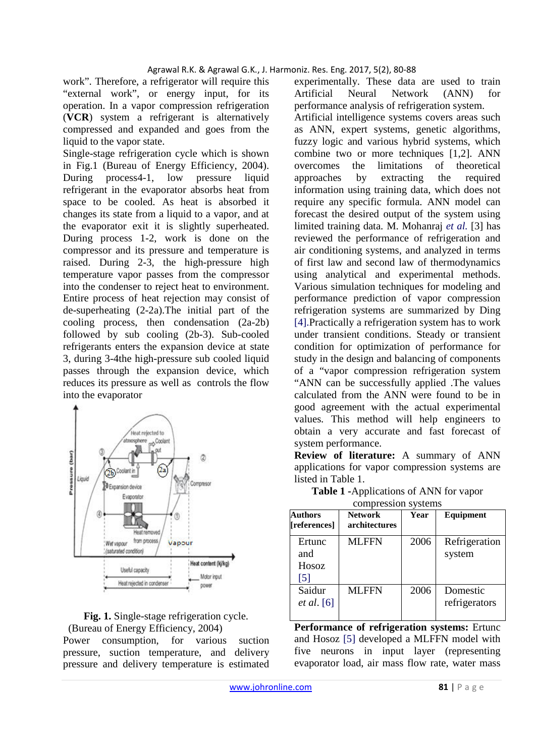work". Therefore, a refrigerator will require this "external work", or energy input, for its operation. In a vapor compression refrigeration (**VCR**) system a refrigerant is alternatively compressed and expanded and goes from the liquid to the vapor state.

Single-stage refrigeration cycle which is shown in Fig.1 (Bureau of Energy Efficiency, 2004). During process4-1, low pressure liquid refrigerant in the evaporator absorbs heat from space to be cooled. As heat is absorbed it changes its state from a liquid to a vapor, and at the evaporator exit it is slightly superheated. During process 1-2, work is done on the compressor and its pressure and temperature is raised. During 2-3, the high-pressure high temperature vapor passes from the compressor into the condenser to reject heat to environment. Entire process of heat rejection may consist of de-superheating (2-2a).The initial part of the cooling process, then condensation (2a-2b) followed by sub cooling (2b-3). Sub-cooled refrigerants enters the expansion device at state 3, during 3-4the high-pressure sub cooled liquid passes through the expansion device, which reduces its pressure as well as controls the flow into the evaporator



**Fig. 1.** Single-stage refrigeration cycle. (Bureau of Energy Efficiency, 2004)

Power consumption, for various suction pressure, suction temperature, and delivery pressure and delivery temperature is estimated

experimentally. These data are used to train Artificial Neural Network (ANN) for performance analysis of refrigeration system. Artificial intelligence systems covers areas such as ANN, expert systems, genetic algorithms, fuzzy logic and various hybrid systems, which combine two or more techniques [1,2]. ANN overcomes the limitations of theoretical approaches by extracting the required information using training data, which does not require any specific formula. ANN model can forecast the desired output of the system using limited training data. M. Mohanraj *et al.* [3] has reviewed the performance of refrigeration and air conditioning systems, and analyzed in terms of first law and second law of thermodynamics using analytical and experimental methods. Various simulation techniques for modeling and performance prediction of vapor compression refrigeration systems are summarized by Ding [4].Practically a refrigeration system has to work under transient conditions. Steady or transient condition for optimization of performance for study in the design and balancing of components of a "vapor compression refrigeration system "ANN can be successfully applied .The values calculated from the ANN were found to be in good agreement with the actual experimental values. This method will help engineers to obtain a very accurate and fast forecast of system performance.

**Review of literature:** A summary of ANN applications for vapor compression systems are listed in Table 1.

|                                             | compression systems             |      |                           |
|---------------------------------------------|---------------------------------|------|---------------------------|
| Authors<br>[references]                     | <b>Network</b><br>architectures | Year | Equipment                 |
| Ertunc<br>and<br>Hosoz<br>$\lceil 5 \rceil$ | <b>MLFFN</b>                    | 2006 | Refrigeration<br>system   |
| Saidur<br><i>et al.</i> [6]                 | <b>MLFFN</b>                    | 2006 | Domestic<br>refrigerators |

**Table 1 -**Applications of ANN for vapor

**Performance of refrigeration systems:** Ertunc and Hosoz [5] developed a MLFFN model with five neurons in input layer (representing evaporator load, air mass flow rate, water mass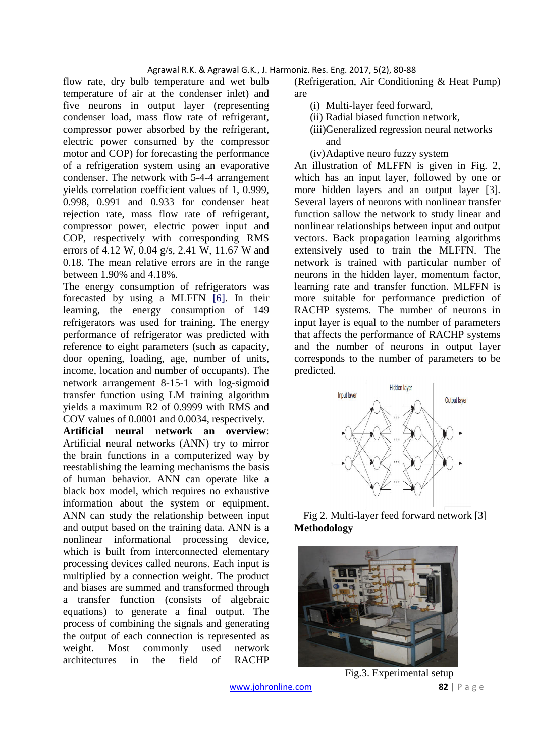flow rate, dry bulb temperature and wet bulb temperature of air at the condenser inlet) and five neurons in output layer (representing condenser load, mass flow rate of refrigerant, compressor power absorbed by the refrigerant, electric power consumed by the compressor motor and COP) for forecasting the performance of a refrigeration system using an evaporative condenser. The network with 5-4-4 arrangement yields correlation coefficient values of 1, 0.999, 0.998, 0.991 and 0.933 for condenser heat rejection rate, mass flow rate of refrigerant, compressor power, electric power input and COP, respectively with corresponding RMS errors of 4.12 W, 0.04 g/s, 2.41 W, 11.67 W and 0.18. The mean relative errors are in the range between 1.90% and 4.18%.

The energy consumption of refrigerators was forecasted by using a MLFFN [6]. In their learning, the energy consumption of 149 refrigerators was used for training. The energy performance of refrigerator was predicted with reference to eight parameters (such as capacity, door opening, loading, age, number of units, income, location and number of occupants). The network arrangement 8-15-1 with log-sigmoid transfer function using LM training algorithm yields a maximum R2 of 0.9999 with RMS and COV values of 0.0001 and 0.0034, respectively.

**Artificial neural network an overview**: Artificial neural networks (ANN) try to mirror the brain functions in a computerized way by reestablishing the learning mechanisms the basis of human behavior. ANN can operate like a black box model, which requires no exhaustive information about the system or equipment. ANN can study the relationship between input and output based on the training data. ANN is a nonlinear informational processing device, which is built from interconnected elementary processing devices called neurons. Each input is multiplied by a connection weight. The product and biases are summed and transformed through a transfer function (consists of algebraic equations) to generate a final output. The process of combining the signals and generating the output of each connection is represented as weight. Most commonly used network architectures in the field of RACHP

(Refrigeration, Air Conditioning & Heat Pump) are

- (i) Multi-layer feed forward,
- (ii) Radial biased function network,
- (iii)Generalized regression neural networks and
- (iv)Adaptive neuro fuzzy system

An illustration of MLFFN is given in Fig. 2, which has an input layer, followed by one or more hidden layers and an output layer [3]. Several layers of neurons with nonlinear transfer function sallow the network to study linear and nonlinear relationships between input and output vectors. Back propagation learning algorithms extensively used to train the MLFFN. The network is trained with particular number of neurons in the hidden layer, momentum factor, learning rate and transfer function. MLFFN is more suitable for performance prediction of RACHP systems. The number of neurons in input layer is equal to the number of parameters that affects the performance of RACHP systems and the number of neurons in output layer corresponds to the number of parameters to be predicted.



Fig 2. Multi-layer feed forward network [3] **Methodology** 



Fig.3. Experimental setup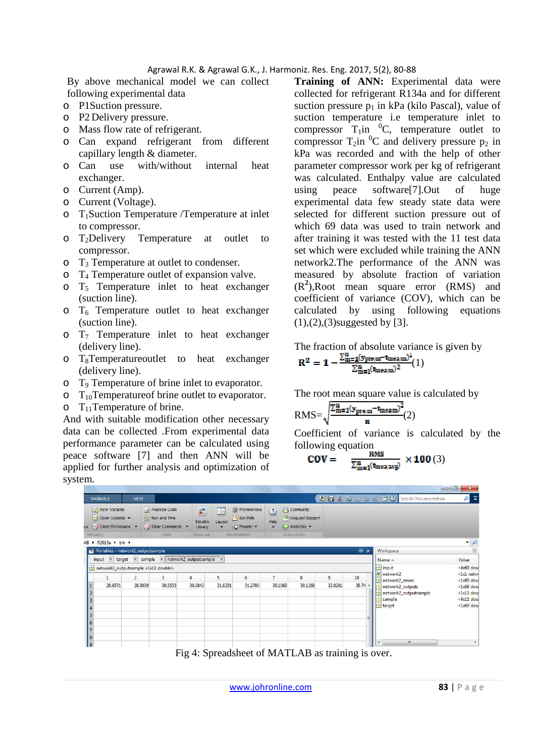By above mechanical model we can collect following experimental data

- o P1Suction pressure.
- o P2 Delivery pressure.
- o Mass flow rate of refrigerant.
- o Can expand refrigerant from different capillary length & diameter.
- o Can use with/without internal heat exchanger.
- o Current (Amp).
- o Current (Voltage).
- o T1Suction Temperature /Temperature at inlet to compressor.
- o T2Delivery Temperature at outlet to compressor.
- o T3 Temperature at outlet to condenser.
- o T4 Temperature outlet of expansion valve.
- $\circ$  T<sub>5</sub> Temperature inlet to heat exchanger (suction line).
- $\circ$  T<sub>6</sub> Temperature outlet to heat exchanger (suction line).
- $\circ$  T<sub>7</sub> Temperature inlet to heat exchanger (delivery line).
- $\circ$  T<sub>8</sub>Temperatureoutlet to heat exchanger (delivery line).
- o T9 Temperature of brine inlet to evaporator.
- $\circ$  T<sub>10</sub>Temperature of brine outlet to evaporator.
- $\circ$  T<sub>11</sub>Temperature of brine.

And with suitable modification other necessary data can be collected .From experimental data performance parameter can be calculated using peace software [7] and then ANN will be applied for further analysis and optimization of system.

**Training of ANN:** Experimental data were collected for refrigerant R134a and for different suction pressure  $p_1$  in kPa (kilo Pascal), value of suction temperature i.e temperature inlet to compressor  $T_1$ in <sup>0</sup>C, temperature outlet to compressor  $T_2$ in <sup>0</sup>C and delivery pressure  $p_2$  in kPa was recorded and with the help of other parameter compressor work per kg of refrigerant was calculated. Enthalpy value are calculated using peace software[7].Out of huge experimental data few steady state data were selected for different suction pressure out of which 69 data was used to train network and after training it was tested with the 11 test data set which were excluded while training the ANN network2.The performance of the ANN was measured by absolute fraction of variation (R**<sup>2</sup>** ),Root mean square error (RMS) and coefficient of variance (COV), which can be calculated by using following equations (1),(2),(3)suggested by [3].

The fraction of absolute variance is given by

$$
\mathbf{R}^2 = \mathbf{1} - \frac{\sum_{m=1}^{n} (\mathbf{y}_{\text{pre},m} - \mathbf{t}_{\text{mea},m})^2}{\sum_{m=1}^{n} (\mathbf{t}_{\text{mea},m})^2} (1)
$$

The root mean square value is calculated by

$$
RMS = \sqrt{\frac{\Sigma_{m=1}^{n}(y_{\text{pre},m} - z_{\text{meam}})^{2}}{n}}(2)
$$

Coefficient of variance is calculated by the following equation

$$
COV = \frac{RMS}{\Sigma_{m=1}^{n}(t_{mea,avg})} \times 100(3)
$$



Fig 4: Spreadsheet of MATLAB as training is over.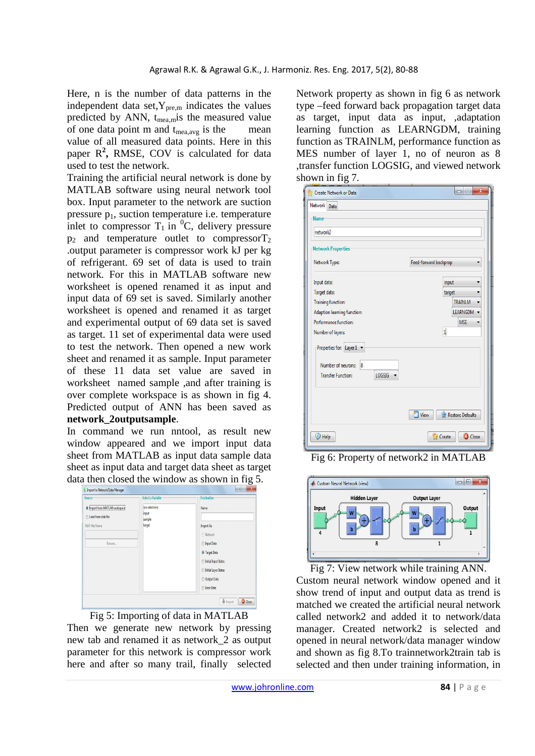Here, n is the number of data patterns in the independent data set,  $Y_{pre,m}$  indicates the values predicted by ANN,  $t_{\text{mea,m}}$  is the measured value of one data point  $m$  and  $t_{mea,avg}$  is the mean value of all measured data points. Here in this paper R<sup>2</sup>, RMSE, COV is calculated for data used to test the network.

Training the artificial neural network is done by MATLAB software using neural network tool box. Input parameter to the network are suction pressure  $p_1$ , suction temperature i.e. temperature inlet to compressor  $T_1$  in <sup>0</sup>C, delivery pressure  $p_2$  and temperature outlet to compressor  $T_2$ .output parameter is compressor work kJ per kg of refrigerant. 69 set of data is used to train network. For this in MATLAB software new worksheet is opened renamed it as input and input data of 69 set is saved. Similarly another worksheet is opened and renamed it as target and experimental output of 69 data set is saved as target. 11 set of experimental data were used to test the network. Then opened a new work sheet and renamed it as sample. Input parameter of these 11 data set value are saved in worksheet named sample ,and after training is over complete workspace is as shown in fig 4. Predicted output of ANN has been saved as **network\_2outputsample**.

In command we run nntool, as result new window appeared and we import input data sheet from MATLAB as input data sample data sheet as input data and target data sheet as target data then closed the window as shown in fig 5.



Fig 5: Importing of data in MATLAB Then we generate new network by pressing new tab and renamed it as network\_2 as output parameter for this network is compressor work here and after so many trail, finally selected Network property as shown in fig 6 as network type –feed forward back propagation target data as target, input data as input, ,adaptation learning function as LEARNGDM, training function as TRAINLM, performance function as MES number of layer 1, no of neuron as 8 ,transfer function LOGSIG, and viewed network shown in fig 7.

| network2                                                    |                                       |
|-------------------------------------------------------------|---------------------------------------|
| <b>Network Properties</b>                                   |                                       |
| Network Type:                                               | Feed-forward backprop<br>۳            |
| Input data:                                                 | input<br>۳                            |
| Target data:                                                | target<br>▼                           |
| <b>Training function:</b>                                   | <b>TRAINLM</b>                        |
| Adaption learning function:                                 | LEARNGDM -                            |
| Performance function:                                       | <b>MSE</b><br>$\overline{\mathbf{v}}$ |
| Number of layers:                                           | $\mathbf{1}$                          |
| Properties for: Layer 1 v                                   |                                       |
| Number of neurons:<br>$\overline{\mathbf{8}}$               |                                       |
| <b>Transfer Function:</b><br>LOGSIG<br>$\blacktriangledown$ |                                       |
|                                                             |                                       |
|                                                             | Restore Defaults<br>View              |

Fig 6: Property of network2 in MATLAB



Fig 7: View network while training ANN. Custom neural network window opened and it show trend of input and output data as trend is matched we created the artificial neural network called network2 and added it to network/data manager. Created network2 is selected and opened in neural network/data manager window and shown as fig 8.To trainnetwork2train tab is selected and then under training information, in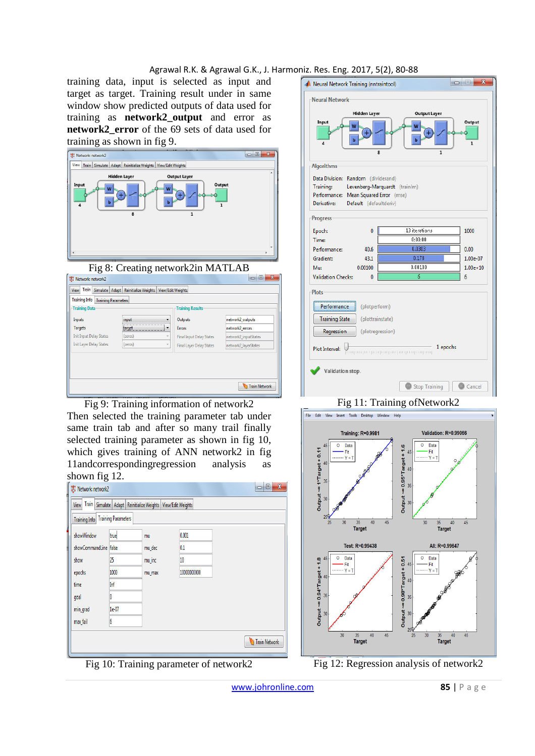training data, input is selected as input and target as target. Training result under in same window show predicted outputs of data used for training as **network2\_output** and error as **network2\_error** of the 69 sets of data used for training as shown in fig 9.







Fig 9: Training information of network2 Then selected the training parameter tab under same train tab and after so many trail finally selected training parameter as shown in fig 10, which gives training of ANN network2 in fig 11andcorrespondingregression analysis as shown fig 12.

|                       | View Train Simulate Adapt Reinitialize Weights View/Edit Weights |        |             |
|-----------------------|------------------------------------------------------------------|--------|-------------|
| <b>Training Info</b>  | <b>Training Parameters</b>                                       |        |             |
| showWindow            | true                                                             | mu     | 0.001       |
| showCommandLine false |                                                                  | mu_dec | 0.1         |
| show                  | 25                                                               | mu_inc | 10          |
| epochs                | 1000                                                             | mu_max | 10000000000 |
| time                  | Inf                                                              |        |             |
| goal                  | ٥                                                                |        |             |
| min_grad              | 1e-07                                                            |        |             |
| max_fail              | 6                                                                |        |             |







Fig 12: Regression analysis of network2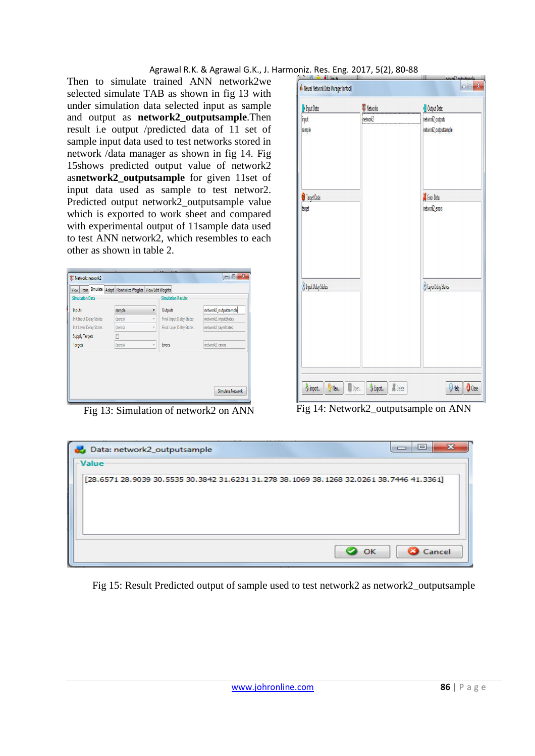Then to simulate trained ANN network2we selected simulate TAB as shown in fig 13 with under simulation data selected input as sample and output as **network2\_outputsample**.Then result i.e output /predicted data of 11 set of sample input data used to test networks stored in network /data manager as shown in fig 14. Fig 15shows predicted output value of network2 as**network2\_outputsample** for given 11set of input data used as sample to test networ2. Predicted output network2\_outputsample value which is exported to work sheet and compared with experimental output of 11sample data used to test ANN network2, which resembles to each other as shown in table 2.

|         |                         | <b>Simulation Results</b>       |                       |
|---------|-------------------------|---------------------------------|-----------------------|
| sample  |                         | Outputs                         | network2_outputsample |
| (zeros) |                         | <b>Final Input Delay States</b> | network2 inputStates  |
| (zeros) |                         | <b>Final Layer Delay States</b> | network2_layerStates  |
|         |                         |                                 |                       |
| (zeros) | $\overline{\mathbf{v}}$ | <b>Errors</b>                   | network2_errors       |
|         |                         |                                 |                       |

| Input Data:           | <b>W</b> Networks | Output Data:          |
|-----------------------|-------------------|-----------------------|
| input                 | inetwork2         | network2_outputs      |
| sample                |                   | network2_outputsample |
| Target Data:          |                   | S Error Data:         |
| target                |                   | network2_errors       |
| D Input Delay States: |                   | D Layer Delay States: |
|                       |                   |                       |
|                       |                   |                       |

Fig 13: Simulation of network2 on ANN Fig 14: Network2\_outputsample on ANN

| Data: network2_outputsample<br><b>Value</b>                                              |    |        |
|------------------------------------------------------------------------------------------|----|--------|
| [28.6571 28.9039 30.5535 30.3842 31.6231 31.278 38.1069 38.1268 32.0261 38.7446 41.3361] |    |        |
|                                                                                          | OK | Cancel |

Fig 15: Result Predicted output of sample used to test network2 as network2\_outputsample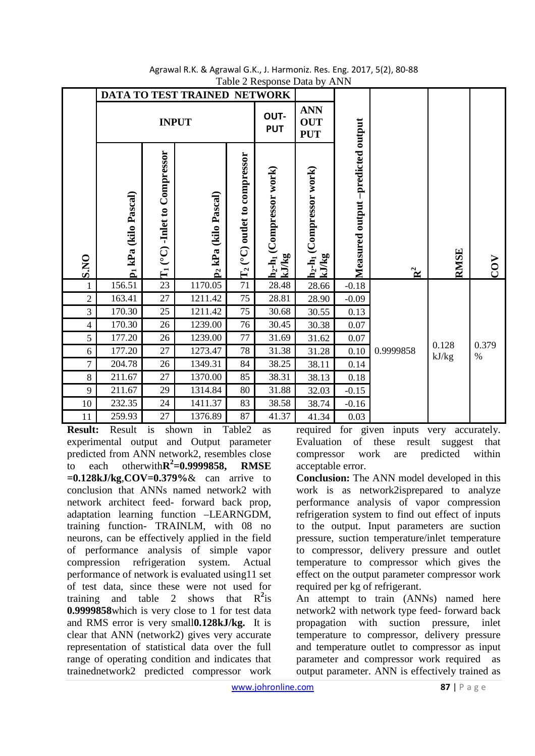|                |                                  |                                       | DATA TO TEST TRAINED NETWORK     |                                     | raone = neopomoe = ana o j                       |                                                  |                                   |                |                |               |
|----------------|----------------------------------|---------------------------------------|----------------------------------|-------------------------------------|--------------------------------------------------|--------------------------------------------------|-----------------------------------|----------------|----------------|---------------|
|                |                                  |                                       | <b>INPUT</b>                     |                                     | OUT-<br><b>PUT</b>                               | <b>ANN</b><br><b>OUT</b><br><b>PUT</b>           |                                   |                |                |               |
|                | p <sub>1</sub> kPa (kilo Pascal) | Compressor<br>$(^{\circ}C)$ -Inlet to | p <sub>2</sub> kPa (kilo Pascal) | $\rm T_2$ (°C) outlet to compressor | h <sub>2</sub> -h <sub>1</sub> (Compressor work) | h <sub>2</sub> -h <sub>1</sub> (Compressor work) | Measured output -predicted output |                |                |               |
| S.NO           |                                  | $\vec{H}$                             |                                  |                                     | kJ/kg                                            | kJ/kg                                            |                                   | $\mathbb{R}^2$ | <b>RMSE</b>    | COV           |
| 1              | 156.51                           | 23                                    | 1170.05                          | 71                                  | 28.48                                            | 28.66                                            | $-0.18$                           |                |                |               |
| $\overline{2}$ | 163.41                           | $27\,$                                | 1211.42                          | 75                                  | 28.81                                            | 28.90                                            | $-0.09$                           |                |                |               |
| 3              | 170.30                           | 25                                    | 1211.42                          | 75                                  | 30.68                                            | 30.55                                            | 0.13                              |                |                |               |
| $\overline{4}$ | 170.30                           | $26\,$                                | 1239.00                          | 76                                  | 30.45                                            | 30.38                                            | 0.07                              |                |                |               |
| $\mathfrak s$  | 177.20                           | $26\,$                                | 1239.00                          | $77\,$                              | 31.69                                            | 31.62                                            | $0.07\,$                          |                |                |               |
| 6              | 177.20                           | 27                                    | 1273.47                          | $78\,$                              | 31.38                                            | 31.28                                            | 0.10                              | 0.9999858      | 0.128<br>kJ/kg | 0.379<br>$\%$ |
| 7              | 204.78                           | $26\,$                                | 1349.31                          | 84                                  | 38.25                                            | 38.11                                            | 0.14                              |                |                |               |
| 8              | 211.67                           | 27                                    | 1370.00                          | 85                                  | 38.31                                            | 38.13                                            | 0.18                              |                |                |               |
| 9              | 211.67                           | 29                                    | 1314.84                          | 80                                  | 31.88                                            | 32.03                                            | $-0.15$                           |                |                |               |
| 10<br>11       | 232.35<br>259.93                 | 24<br>27                              | 1411.37<br>1376.89               | 83<br>87                            | 38.58<br>41.37                                   | 38.74<br>41.34                                   | $-0.16$<br>0.03                   |                |                |               |

#### Agrawal R.K. & Agrawal G.K., J. Harmoniz. Res. Eng. 2017, 5(2), 80-88 Table 2 Response Data by ANN

**Result:** Result is shown in Table2 as experimental output and Output parameter predicted from ANN network2, resembles close to each otherwith $\mathbb{R}^2$ =0.9999858, RMSE **=0.128kJ/kg**,**COV=0.379%**& can arrive to conclusion that ANNs named network2 with network architect feed- forward back prop, adaptation learning function –LEARNGDM, training function- TRAINLM, with 08 no neurons, can be effectively applied in the field of performance analysis of simple vapor compression refrigeration system. Actual performance of network is evaluated using11 set of test data, since these were not used for training and table 2 shows that  $R^2$  is **0.9999858**which is very close to 1 for test data and RMS error is very small**0.128kJ/kg.** It is clear that ANN (network2) gives very accurate representation of statistical data over the full range of operating condition and indicates that trainednetwork2 predicted compressor work

required for given inputs very accurately. Evaluation of these result suggest that compressor work are predicted within acceptable error.

**Conclusion:** The ANN model developed in this work is as network2isprepared to analyze performance analysis of vapor compression refrigeration system to find out effect of inputs to the output. Input parameters are suction pressure, suction temperature/inlet temperature to compressor, delivery pressure and outlet temperature to compressor which gives the effect on the output parameter compressor work required per kg of refrigerant.

An attempt to train (ANNs) named here network2 with network type feed- forward back propagation with suction pressure, inlet temperature to compressor, delivery pressure and temperature outlet to compressor as input parameter and compressor work required as output parameter. ANN is effectively trained as